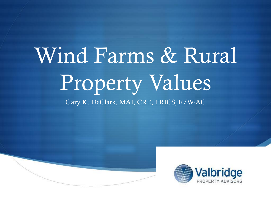# Wind Farms & Rural Property Values Gary K. DeClark, MAI, CRE, FRICS, R/W-AC



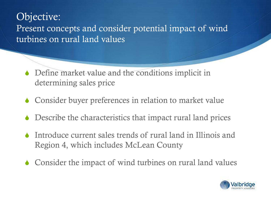Objective: Present concepts and consider potential impact of wind turbines on rural land values

- $\bullet$  Define market value and the conditions implicit in determining sales price
- $\bullet$  Consider buyer preferences in relation to market value
- Describe the characteristics that impact rural land prices
- $\bullet$  Introduce current sales trends of rural land in Illinois and Region 4, which includes McLean County
- $\bullet$  Consider the impact of wind turbines on rural land values

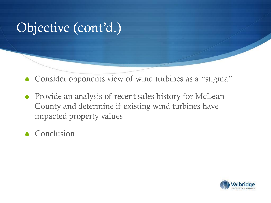## Objective (cont'd.)

- $\bullet$  Consider opponents view of wind turbines as a "stigma"
- $\bullet$  Provide an analysis of recent sales history for McLean County and determine if existing wind turbines have impacted property values
- $\triangle$  Conclusion

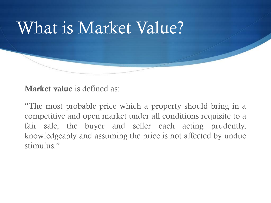

Market value is defined as:

"The most probable price which a property should bring in a competitive and open market under all conditions requisite to a fair sale, the buyer and seller each acting prudently, knowledgeably and assuming the price is not affected by undue stimulus."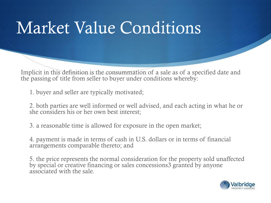# Market Value Conditions

Implicit in this definition is the consummation of a sale as of a specified date and the passing of title from seller to buyer under conditions whereby:

1. buyer and seller are typically motivated;

2. both parties are well informed or well advised, and each acting in what he or she considers his or her own best interest;

3. a reasonable time is allowed for exposure in the open market;

4. payment is made in terms of cash in U.S. dollars or in terms of financial arrangements comparable thereto; and

5. the price represents the normal consideration for the property sold unaffected by special or creative financing or sales concessions3 granted by anyone associated with the sale.

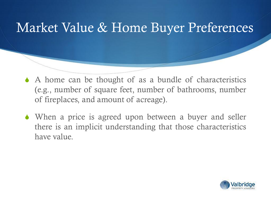## Market Value & Home Buyer Preferences

- $\triangle$  A home can be thought of as a bundle of characteristics (e.g., number of square feet, number of bathrooms, number of fireplaces, and amount of acreage).
- $\bullet$  When a price is agreed upon between a buyer and seller there is an implicit understanding that those characteristics have value.

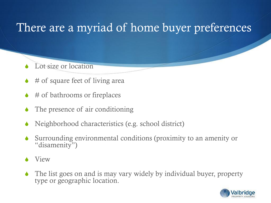## There are a myriad of home buyer preferences

- Lot size or location
- # of square feet of living area
- $#$  of bathrooms or fireplaces
- The presence of air conditioning
- Neighborhood characteristics (e.g. school district)
- Surrounding environmental conditions (proximity to an amenity or "disamenity")
- **View**
- The list goes on and is may vary widely by individual buyer, property type or geographic location.

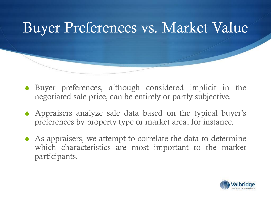

- $\bullet$  Buyer preferences, although considered implicit in the negotiated sale price, can be entirely or partly subjective.
- $\triangle$  Appraisers analyze sale data based on the typical buyer's preferences by property type or market area, for instance.
- $\triangle$  As appraisers, we attempt to correlate the data to determine which characteristics are most important to the market participants.

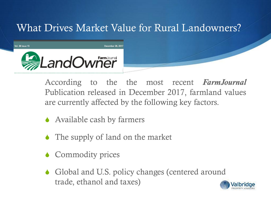### What Drives Market Value for Rural Landowners?



According to the the most recent *FarmJournal* Publication released in December 2017, farmland values are currently affected by the following key factors.

- $\triangle$  Available cash by farmers
- $\bullet$  The supply of land on the market
- $\bullet$  Commodity prices
- $\bullet$  Global and U.S. policy changes (centered around trade, ethanol and taxes)

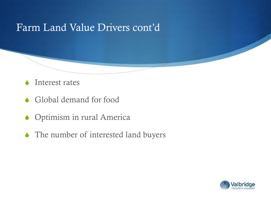#### Farm Land Value Drivers cont'd

- $\blacklozenge$  Interest rates
- $\triangle$  Global demand for food
- $\bullet$  Optimism in rural America
- $\blacklozenge$  The number of interested land buyers

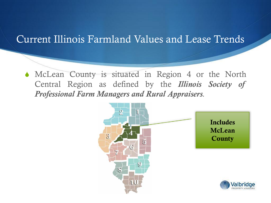#### Current Illinois Farmland Values and Lease Trends

 $\bullet$  McLean County is situated in Region 4 or the North Central Region as defined by the *Illinois Society of Professional Farm Managers and Rural Appraisers.*

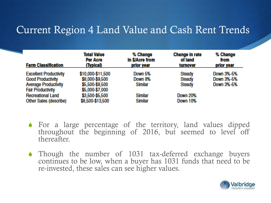#### Current Region 4 Land Value and Cash Rent Trends

| <b>Farm Classification</b>    | <b>Total Value</b><br>Per Acre<br>(Typical) | % Change<br>in \$/Acre from<br>prior year | Change in rate<br>of land<br>turnover | % Change<br>from<br>prior year |
|-------------------------------|---------------------------------------------|-------------------------------------------|---------------------------------------|--------------------------------|
| <b>Excellent Productivity</b> | \$10,000-\$11,500                           | Down 5%                                   | <b>Steady</b>                         | Down 3%-5%                     |
| <b>Good Productivity</b>      | \$8,000-\$9,500                             | Down 8%                                   | <b>Steady</b>                         | Down 3%-5%                     |
| <b>Average Productivity</b>   | \$5,500-\$8,500                             | <b>Similar</b>                            | <b>Steady</b>                         | Down 3%-5%                     |
| <b>Fair Productivity</b>      | \$5,000-\$7,000                             |                                           |                                       |                                |
| <b>Recreational Land</b>      | \$3,500-\$5,500                             | <b>Similar</b>                            | Down 20%                              |                                |
| <b>Other Sales (describe)</b> | \$8,500-\$13,500                            | <b>Similar</b>                            | Down 10%                              |                                |

- $\bullet$  For a large percentage of the territory, land values dipped throughout the beginning of 2016, but seemed to level off thereafter.
- $\bullet$  Though the number of 1031 tax-deferred exchange buyers continues to be low, when a buyer has 1031 funds that need to be re-invested, these sales can see higher values.

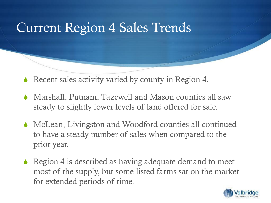## Current Region 4 Sales Trends

- Recent sales activity varied by county in Region 4.
- $\blacklozenge$  Marshall, Putnam, Tazewell and Mason counties all saw steady to slightly lower levels of land offered for sale.
- $\bullet$  McLean, Livingston and Woodford counties all continued to have a steady number of sales when compared to the prior year.
- $\triangle$  Region 4 is described as having adequate demand to meet most of the supply, but some listed farms sat on the market for extended periods of time.

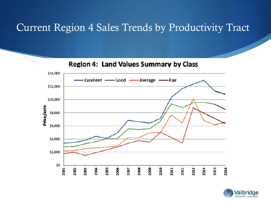#### Current Region 4 Sales Trends by Productivity Tract

\$14,000 Excellent - Good - Average •Fair \$12,000 \$10,000 Price/acre \$8,000 \$6,000 \$4,000 \$2,000 Ş0 2001 2002 2003 2004 2005 2006 2007 2008 2009 2010 2011 2012 2013 2014 2015 2016



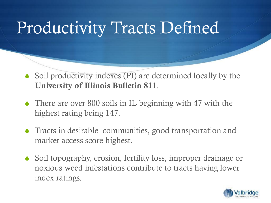# Productivity Tracts Defined

- $\blacklozenge$  Soil productivity indexes (PI) are determined locally by the University of Illinois Bulletin 811.
- $\triangle$  There are over 800 soils in IL beginning with 47 with the highest rating being 147.
- $\bullet$  Tracts in desirable communities, good transportation and market access score highest.
- Soil topography, erosion, fertility loss, improper drainage or noxious weed infestations contribute to tracts having lower index ratings.

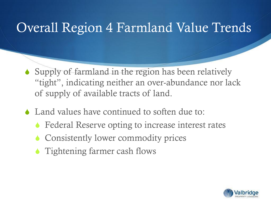## Overall Region 4 Farmland Value Trends

- $\bullet$  Supply of farmland in the region has been relatively "tight", indicating neither an over-abundance nor lack of supply of available tracts of land.
- $\triangle$  Land values have continued to soften due to:
	- Federal Reserve opting to increase interest rates
	- Consistently lower commodity prices
	- $\triangle$  Tightening farmer cash flows

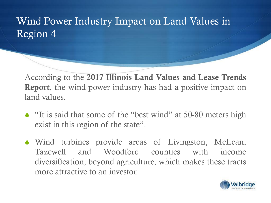### Wind Power Industry Impact on Land Values in Region 4

According to the 2017 Illinois Land Values and Lease Trends Report, the wind power industry has had a positive impact on land values.

- $\triangle$  "It is said that some of the "best wind" at 50-80 meters high exist in this region of the state".
- $\bullet$  Wind turbines provide areas of Livingston, McLean, Tazewell and Woodford counties with income diversification, beyond agriculture, which makes these tracts more attractive to an investor.

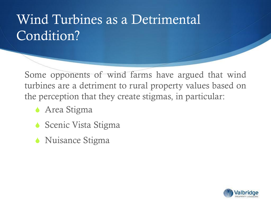## Wind Turbines as a Detrimental Condition?

Some opponents of wind farms have argued that wind turbines are a detriment to rural property values based on the perception that they create stigmas, in particular:

- **Area Stigma**
- $\bullet$  Scenic Vista Stigma
- $\bullet$  Nuisance Stigma

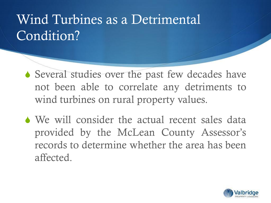## Wind Turbines as a Detrimental Condition?

- $\triangle$  Several studies over the past few decades have not been able to correlate any detriments to wind turbines on rural property values.
- $\bullet$  We will consider the actual recent sales data provided by the McLean County Assessor's records to determine whether the area has been affected.

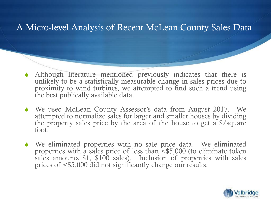#### A Micro-level Analysis of Recent McLean County Sales Data

- $\blacklozenge$  Although literature mentioned previously indicates that there is unlikely to be a statistically measurable change in sales prices due to proximity to wind turbines, we attempted to find such a trend using the best publically available data.
- S We used McLean County Assessor's data from August 2017. We attempted to normalize sales for larger and smaller houses by dividing the property sales price by the area of the house to get a \$/square foot.
- $\blacklozenge$  We eliminated properties with no sale price data. We eliminated properties with a sales price of less than <\$5,000 (to eliminate token sales amounts \$1, \$100 sales). Inclusion of properties with sales prices of <\$5,000 did not significantly change our results.

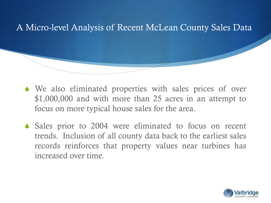#### A Micro-level Analysis of Recent McLean County Sales Data

- $\bullet$  We also eliminated properties with sales prices of over \$1,000,000 and with more than 25 acres in an attempt to focus on more typical house sales for the area.
- $\bullet$  Sales prior to 2004 were eliminated to focus on recent trends. Inclusion of all county data back to the earliest sales records reinforces that property values near turbines has increased over time.

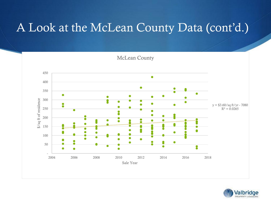

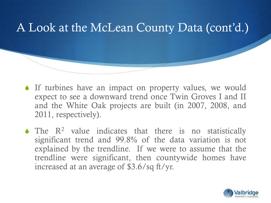- $\bullet$  If turbines have an impact on property values, we would expect to see a downward trend once Twin Groves I and II and the White Oak projects are built (in 2007, 2008, and 2011, respectively).
- $\blacklozenge$  The  $\mathbb{R}^2$  value indicates that there is no statistically significant trend and 99.8% of the data variation is not explained by the trendline. If we were to assume that the trendline were significant, then countywide homes have increased at an average of \$3.6/sq ft/yr.

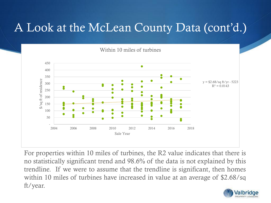

For properties within 10 miles of turbines, the R2 value indicates that there is no statistically significant trend and 98.6% of the data is not explained by this trendline. If we were to assume that the trendline is significant, then homes within 10 miles of turbines have increased in value at an average of \$2.68/sq ft/year.

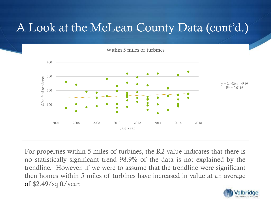

For properties within 5 miles of turbines, the R2 value indicates that there is no statistically significant trend 98.9% of the data is not explained by the trendline. However, if we were to assume that the trendline were significant then homes within 5 miles of turbines have increased in value at an average of \$2.49/sq ft/year.

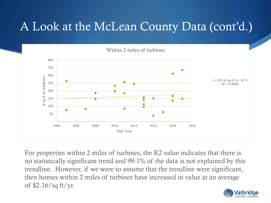

For properties within 2 miles of turbines, the R2 value indicates that there is no statistically significant trend and 99.1% of the data is not explained by this trendline. However, if we were to assume that the trendline were significant, then homes within 2 miles of turbines have increased in value at an average of \$2.16/sq ft/yr.

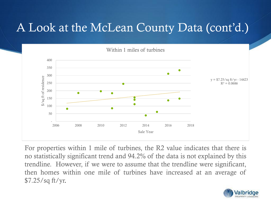

For properties within 1 mile of turbines, the R2 value indicates that there is no statistically significant trend and 94.2% of the data is not explained by this trendline. However, if we were to assume that the trendline were significant, then homes within one mile of turbines have increased at an average of \$7.25/sq ft/yr.

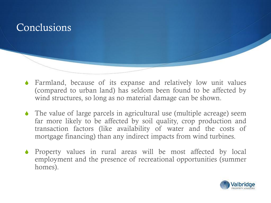### Conclusions

- Farmland, because of its expanse and relatively low unit values (compared to urban land) has seldom been found to be affected by wind structures, so long as no material damage can be shown.
- $\bullet$  The value of large parcels in agricultural use (multiple acreage) seem far more likely to be affected by soil quality, crop production and transaction factors (like availability of water and the costs of mortgage financing) than any indirect impacts from wind turbines.
- $\bullet$  Property values in rural areas will be most affected by local employment and the presence of recreational opportunities (summer homes).